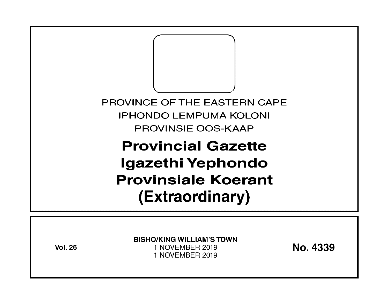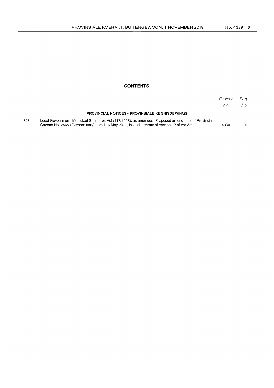#### **CONTENTS**

|     |                                                                                                                                                                                                     | Gazette<br>No. | Page<br>No. |
|-----|-----------------------------------------------------------------------------------------------------------------------------------------------------------------------------------------------------|----------------|-------------|
|     | <b>PROVINCIAL NOTICES • PROVINSIALE KENNISGEWINGS</b>                                                                                                                                               |                |             |
| 303 | Local Government: Municipal Structures Act (117/1998), as amended: Proposed amendment of Provincial<br>Gazette No. 2565 (Extraordinary) dated 16 May 2011, issued in terms of section 12 of the Act | 4339           |             |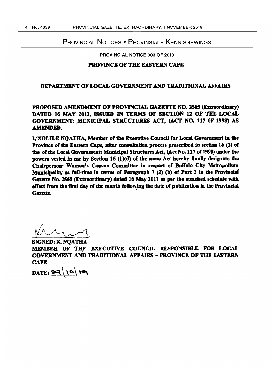#### PROVINCIAL NOTICES • PROVINSIALE KENNISGEWINGS

PROVINCIAL NOTICE 303 OF 2019

#### PROVINCE OF THE EASTERN CAPE

#### DEPARTMENT OF LOCAL GOVERNMENT AND TRADITIONAL AFFAIRS

## PROPOSED AMENDMENT OF PROVINCIAL GAZETTE NO. 2565 (Extraordinary) DATED 16 MAY 2011, ISSUED IN TERMS OF SECTION 12 OF THE LOCAL GOVERNMENT: MUNICIPAL STRUCTURES ACT, (ACT NO. 117 OF 1998) AS AMENDED.

I, XOLILE NOATHA, Member of the Executive Council for Local Government in the Province of the Eastern Cape, after consultation process prescribed in section 16 (3) of the of the Local Government: Municipal Structures Act, (Act No. 117 of 1998) under the powers vested in me by Section 16  $(1)(d)$  of the same Act hereby finally designate the Chairperson: Women's Caucus Committee in respect of Buffalo City Metropolitan Municipality as full-time in terms of Paragraph 7 (2) (b) of Part 2 in the Provincial Gazette No. 2565 (Extraordinary) dated 16 May 2011 as per the attached schedule with effect from the first day of the month following the date of publication in the Provincial Gazette.

SIGNED: X. NOATHA WERELLE.<br>SIGNED: X. NQATHA<br>MEMBER OF THE EXECUTIVE COUNCIL RESPONSIBLE FOR LOCAL GOVERNMENT AND TRADITIONAL AFFAIRS - PROVINCE OF THE EASTERN **CAPE** 

DATE:  $29/10/19$